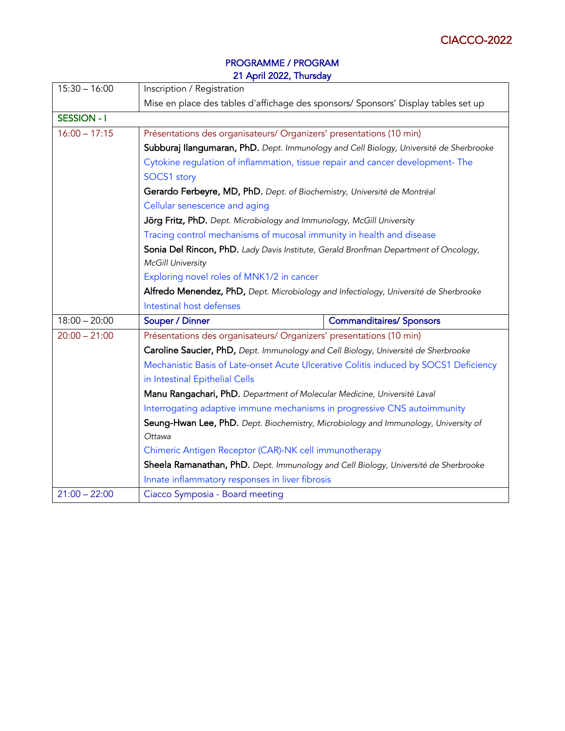## PROGRAMME / PROGRAM 21 April 2022, Thursday

| $15:30 - 16:00$    | Inscription / Registration                                                                                                                                                                                                                    |                                 |  |
|--------------------|-----------------------------------------------------------------------------------------------------------------------------------------------------------------------------------------------------------------------------------------------|---------------------------------|--|
|                    | Mise en place des tables d'affichage des sponsors/ Sponsors' Display tables set up                                                                                                                                                            |                                 |  |
| <b>SESSION - I</b> |                                                                                                                                                                                                                                               |                                 |  |
| $16:00 - 17:15$    | Présentations des organisateurs/ Organizers' presentations (10 min)                                                                                                                                                                           |                                 |  |
|                    | Subburaj llangumaran, PhD. Dept. Immunology and Cell Biology, Université de Sherbrooke                                                                                                                                                        |                                 |  |
|                    | Cytokine regulation of inflammation, tissue repair and cancer development- The                                                                                                                                                                |                                 |  |
|                    | <b>SOCS1 story</b>                                                                                                                                                                                                                            |                                 |  |
|                    | Gerardo Ferbeyre, MD, PhD. Dept. of Biochemistry, Université de Montréal                                                                                                                                                                      |                                 |  |
|                    | Cellular senescence and aging                                                                                                                                                                                                                 |                                 |  |
|                    | Jörg Fritz, PhD. Dept. Microbiology and Immunology, McGill University                                                                                                                                                                         |                                 |  |
|                    | Tracing control mechanisms of mucosal immunity in health and disease                                                                                                                                                                          |                                 |  |
|                    | Sonia Del Rincon, PhD. Lady Davis Institute, Gerald Bronfman Department of Oncology,                                                                                                                                                          |                                 |  |
|                    | <b>McGill University</b>                                                                                                                                                                                                                      |                                 |  |
|                    | Exploring novel roles of MNK1/2 in cancer<br>Alfredo Menendez, PhD, Dept. Microbiology and Infectiology, Université de Sherbrooke                                                                                                             |                                 |  |
|                    |                                                                                                                                                                                                                                               |                                 |  |
|                    | Intestinal host defenses                                                                                                                                                                                                                      |                                 |  |
| $18:00 - 20:00$    | Souper / Dinner                                                                                                                                                                                                                               | <b>Commanditaires/ Sponsors</b> |  |
| $20:00 - 21:00$    | Présentations des organisateurs/ Organizers' presentations (10 min)                                                                                                                                                                           |                                 |  |
|                    | Caroline Saucier, PhD, Dept. Immunology and Cell Biology, Université de Sherbrooke                                                                                                                                                            |                                 |  |
|                    | Mechanistic Basis of Late-onset Acute Ulcerative Colitis induced by SOCS1 Deficiency                                                                                                                                                          |                                 |  |
|                    | in Intestinal Epithelial Cells                                                                                                                                                                                                                |                                 |  |
|                    | Manu Rangachari, PhD. Department of Molecular Medicine, Université Laval                                                                                                                                                                      |                                 |  |
|                    | Interrogating adaptive immune mechanisms in progressive CNS autoimmunity                                                                                                                                                                      |                                 |  |
|                    | Seung-Hwan Lee, PhD. Dept. Biochemistry, Microbiology and Immunology, University of<br>Ottawa<br>Chimeric Antigen Receptor (CAR)-NK cell immunotherapy<br>Sheela Ramanathan, PhD. Dept. Immunology and Cell Biology, Université de Sherbrooke |                                 |  |
|                    |                                                                                                                                                                                                                                               |                                 |  |
|                    |                                                                                                                                                                                                                                               |                                 |  |
|                    |                                                                                                                                                                                                                                               |                                 |  |
|                    | Innate inflammatory responses in liver fibrosis                                                                                                                                                                                               |                                 |  |
| $21:00 - 22:00$    | Ciacco Symposia - Board meeting                                                                                                                                                                                                               |                                 |  |